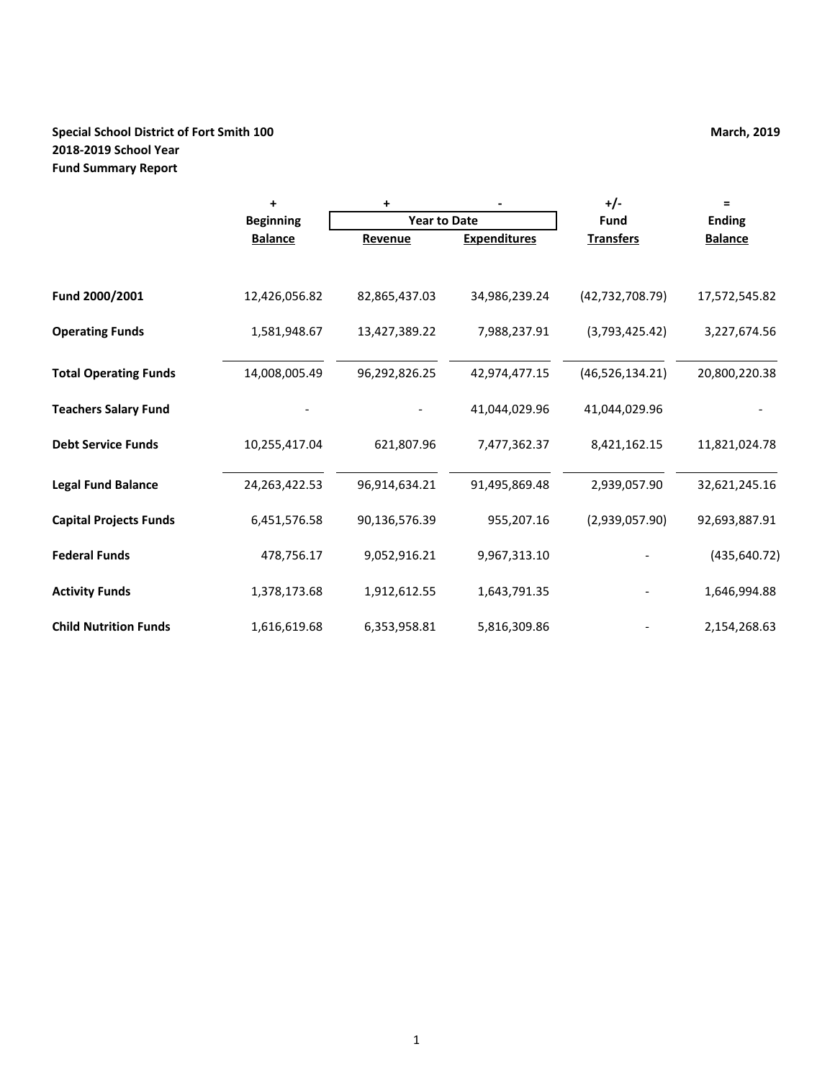# **Special School District of Fort Smith 100 March, 2019 March, 2019 2018-2019 School Year Fund Summary Report**

|                               | ÷                | ٠                   |                     | $+/-$             | Ξ              |
|-------------------------------|------------------|---------------------|---------------------|-------------------|----------------|
|                               | <b>Beginning</b> | <b>Year to Date</b> |                     | Fund              | <b>Ending</b>  |
|                               | <b>Balance</b>   | Revenue             | <b>Expenditures</b> | <b>Transfers</b>  | <b>Balance</b> |
|                               |                  |                     |                     |                   |                |
| Fund 2000/2001                | 12,426,056.82    | 82,865,437.03       | 34,986,239.24       | (42, 732, 708.79) | 17,572,545.82  |
| <b>Operating Funds</b>        | 1,581,948.67     | 13,427,389.22       | 7,988,237.91        | (3,793,425.42)    | 3,227,674.56   |
| <b>Total Operating Funds</b>  | 14,008,005.49    | 96,292,826.25       | 42,974,477.15       | (46, 526, 134.21) | 20,800,220.38  |
| <b>Teachers Salary Fund</b>   |                  |                     | 41,044,029.96       | 41,044,029.96     |                |
| <b>Debt Service Funds</b>     | 10,255,417.04    | 621,807.96          | 7,477,362.37        | 8,421,162.15      | 11,821,024.78  |
| <b>Legal Fund Balance</b>     | 24,263,422.53    | 96,914,634.21       | 91,495,869.48       | 2,939,057.90      | 32,621,245.16  |
| <b>Capital Projects Funds</b> | 6,451,576.58     | 90,136,576.39       | 955,207.16          | (2,939,057.90)    | 92,693,887.91  |
| <b>Federal Funds</b>          | 478,756.17       | 9,052,916.21        | 9,967,313.10        |                   | (435, 640.72)  |
| <b>Activity Funds</b>         | 1,378,173.68     | 1,912,612.55        | 1,643,791.35        |                   | 1,646,994.88   |
| <b>Child Nutrition Funds</b>  | 1,616,619.68     | 6,353,958.81        | 5,816,309.86        |                   | 2,154,268.63   |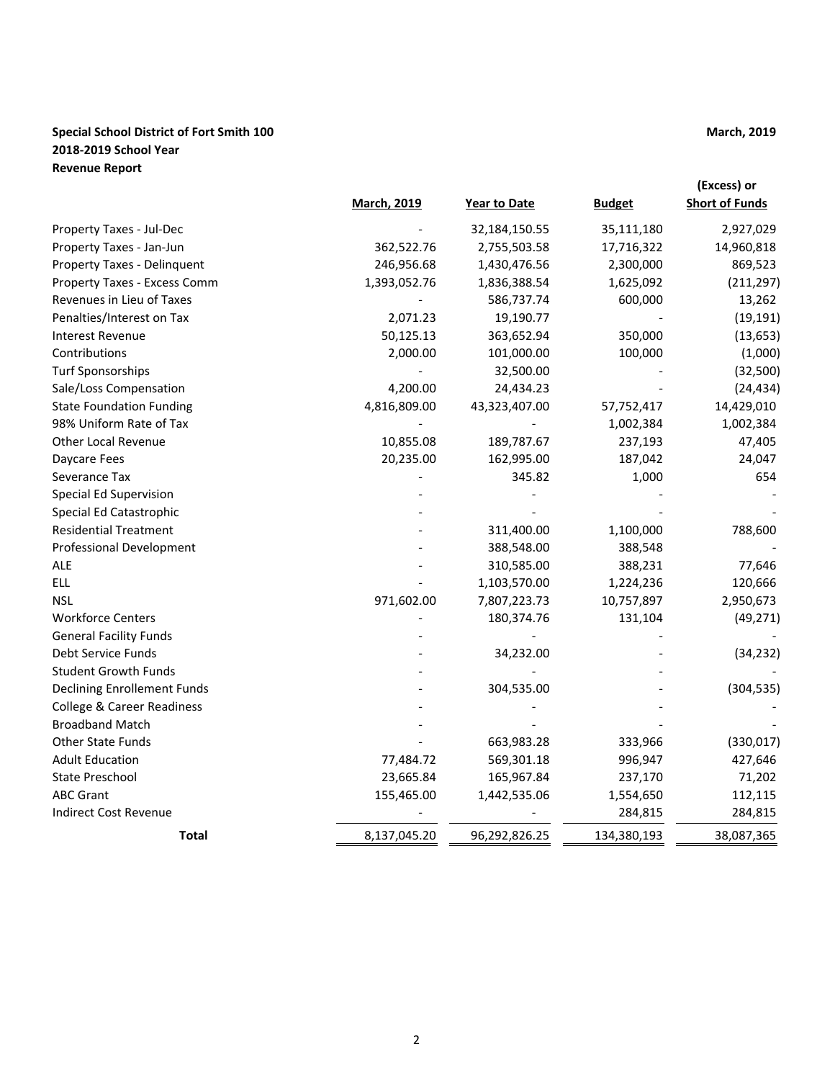# **Special School District of Fort Smith 100 March, 2019 March, 2019 2018-2019 School Year Revenue Report**

|                                       |                    |                     |               | (Excess) or           |
|---------------------------------------|--------------------|---------------------|---------------|-----------------------|
|                                       | <b>March, 2019</b> | <b>Year to Date</b> | <b>Budget</b> | <b>Short of Funds</b> |
| Property Taxes - Jul-Dec              |                    | 32,184,150.55       | 35,111,180    | 2,927,029             |
| Property Taxes - Jan-Jun              | 362,522.76         | 2,755,503.58        | 17,716,322    | 14,960,818            |
| Property Taxes - Delinquent           | 246,956.68         | 1,430,476.56        | 2,300,000     | 869,523               |
| Property Taxes - Excess Comm          | 1,393,052.76       | 1,836,388.54        | 1,625,092     | (211, 297)            |
| Revenues in Lieu of Taxes             |                    | 586,737.74          | 600,000       | 13,262                |
| Penalties/Interest on Tax             | 2,071.23           | 19,190.77           |               | (19, 191)             |
| <b>Interest Revenue</b>               | 50,125.13          | 363,652.94          | 350,000       | (13, 653)             |
| Contributions                         | 2,000.00           | 101,000.00          | 100,000       | (1,000)               |
| <b>Turf Sponsorships</b>              |                    | 32,500.00           |               | (32, 500)             |
| Sale/Loss Compensation                | 4,200.00           | 24,434.23           |               | (24, 434)             |
| <b>State Foundation Funding</b>       | 4,816,809.00       | 43,323,407.00       | 57,752,417    | 14,429,010            |
| 98% Uniform Rate of Tax               |                    |                     | 1,002,384     | 1,002,384             |
| <b>Other Local Revenue</b>            | 10,855.08          | 189,787.67          | 237,193       | 47,405                |
| Daycare Fees                          | 20,235.00          | 162,995.00          | 187,042       | 24,047                |
| Severance Tax                         |                    | 345.82              | 1,000         | 654                   |
| Special Ed Supervision                |                    |                     |               |                       |
| Special Ed Catastrophic               |                    |                     |               |                       |
| <b>Residential Treatment</b>          |                    | 311,400.00          | 1,100,000     | 788,600               |
| Professional Development              |                    | 388,548.00          | 388,548       |                       |
| ALE                                   |                    | 310,585.00          | 388,231       | 77,646                |
| <b>ELL</b>                            |                    | 1,103,570.00        | 1,224,236     | 120,666               |
| <b>NSL</b>                            | 971,602.00         | 7,807,223.73        | 10,757,897    | 2,950,673             |
| <b>Workforce Centers</b>              |                    | 180,374.76          | 131,104       | (49, 271)             |
| <b>General Facility Funds</b>         |                    |                     |               |                       |
| Debt Service Funds                    |                    | 34,232.00           |               | (34, 232)             |
| <b>Student Growth Funds</b>           |                    |                     |               |                       |
| <b>Declining Enrollement Funds</b>    |                    | 304,535.00          |               | (304, 535)            |
| <b>College &amp; Career Readiness</b> |                    |                     |               |                       |
| <b>Broadband Match</b>                |                    |                     |               |                       |
| <b>Other State Funds</b>              |                    | 663,983.28          | 333,966       | (330, 017)            |
| <b>Adult Education</b>                | 77,484.72          | 569,301.18          | 996,947       | 427,646               |
| <b>State Preschool</b>                | 23,665.84          | 165,967.84          | 237,170       | 71,202                |
| <b>ABC Grant</b>                      | 155,465.00         | 1,442,535.06        | 1,554,650     | 112,115               |
| <b>Indirect Cost Revenue</b>          |                    |                     | 284,815       | 284,815               |
| <b>Total</b>                          | 8,137,045.20       | 96,292,826.25       | 134,380,193   | 38,087,365            |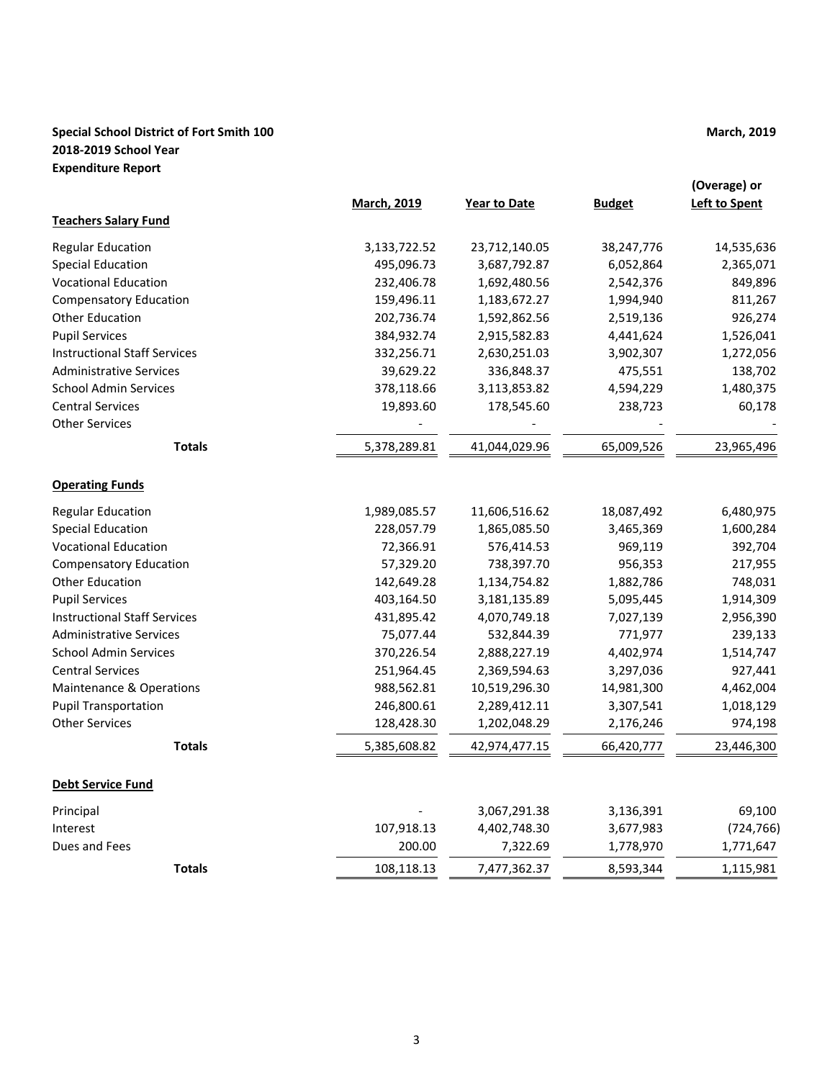# **Special School District of Fort Smith 100 March, 2019 March, 2019 2018-2019 School Year Expenditure Report**

|                                     | <b>March, 2019</b> | <b>Year to Date</b> | <b>Budget</b> | (Overage) or<br><b>Left to Spent</b> |
|-------------------------------------|--------------------|---------------------|---------------|--------------------------------------|
| <b>Teachers Salary Fund</b>         |                    |                     |               |                                      |
| <b>Regular Education</b>            | 3,133,722.52       | 23,712,140.05       | 38,247,776    | 14,535,636                           |
| <b>Special Education</b>            | 495,096.73         | 3,687,792.87        | 6,052,864     | 2,365,071                            |
| <b>Vocational Education</b>         | 232,406.78         | 1,692,480.56        | 2,542,376     | 849,896                              |
| <b>Compensatory Education</b>       | 159,496.11         | 1,183,672.27        | 1,994,940     | 811,267                              |
| <b>Other Education</b>              | 202,736.74         | 1,592,862.56        | 2,519,136     | 926,274                              |
| <b>Pupil Services</b>               | 384,932.74         | 2,915,582.83        | 4,441,624     | 1,526,041                            |
| <b>Instructional Staff Services</b> | 332,256.71         | 2,630,251.03        | 3,902,307     | 1,272,056                            |
| <b>Administrative Services</b>      | 39,629.22          | 336,848.37          | 475,551       | 138,702                              |
| <b>School Admin Services</b>        | 378,118.66         | 3,113,853.82        | 4,594,229     | 1,480,375                            |
| <b>Central Services</b>             | 19,893.60          | 178,545.60          | 238,723       | 60,178                               |
| <b>Other Services</b>               |                    |                     |               |                                      |
| <b>Totals</b>                       | 5,378,289.81       | 41,044,029.96       | 65,009,526    | 23,965,496                           |
| <b>Operating Funds</b>              |                    |                     |               |                                      |
| <b>Regular Education</b>            | 1,989,085.57       | 11,606,516.62       | 18,087,492    | 6,480,975                            |
| <b>Special Education</b>            | 228,057.79         | 1,865,085.50        | 3,465,369     | 1,600,284                            |
| <b>Vocational Education</b>         | 72,366.91          | 576,414.53          | 969,119       | 392,704                              |
| <b>Compensatory Education</b>       | 57,329.20          | 738,397.70          | 956,353       | 217,955                              |
| Other Education                     | 142,649.28         | 1,134,754.82        | 1,882,786     | 748,031                              |
| <b>Pupil Services</b>               | 403,164.50         | 3,181,135.89        | 5,095,445     | 1,914,309                            |
| <b>Instructional Staff Services</b> | 431,895.42         | 4,070,749.18        | 7,027,139     | 2,956,390                            |
| <b>Administrative Services</b>      | 75,077.44          | 532,844.39          | 771,977       | 239,133                              |
| <b>School Admin Services</b>        | 370,226.54         | 2,888,227.19        | 4,402,974     | 1,514,747                            |
| <b>Central Services</b>             | 251,964.45         | 2,369,594.63        | 3,297,036     | 927,441                              |
| <b>Maintenance &amp; Operations</b> | 988,562.81         | 10,519,296.30       | 14,981,300    | 4,462,004                            |
| <b>Pupil Transportation</b>         | 246,800.61         | 2,289,412.11        | 3,307,541     | 1,018,129                            |
| <b>Other Services</b>               | 128,428.30         | 1,202,048.29        | 2,176,246     | 974,198                              |
| <b>Totals</b>                       | 5,385,608.82       | 42,974,477.15       | 66,420,777    | 23,446,300                           |
| <b>Debt Service Fund</b>            |                    |                     |               |                                      |
| Principal                           |                    | 3,067,291.38        | 3,136,391     | 69,100                               |
| Interest                            | 107,918.13         | 4,402,748.30        | 3,677,983     | (724, 766)                           |
| Dues and Fees                       | 200.00             | 7,322.69            | 1,778,970     | 1,771,647                            |
| <b>Totals</b>                       | 108,118.13         | 7,477,362.37        | 8,593,344     | 1,115,981                            |
|                                     |                    |                     |               |                                      |